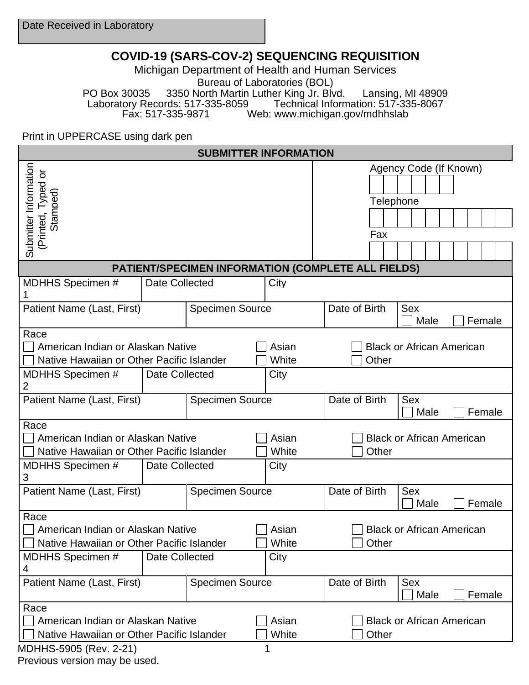## **COVID-19 (SARS-COV-2) SEQUENCING REQUISITION**

Michigan Department of Health and Human Services Bureau of Laboratories (BOL)

PO Box 30035 3350 North Martin Luther King Jr. Blvd. Lansing, MI 48909<br>Laboratory Records: 517-335-8059 Technical Information: 517-335-8067 tory Records: 517-335-8059 Technical Information: 517-335-8067<br>Fax: 517-335-9871 Web: www.michigan.gov/mdhhslab Web: www.michigan.gov/mdhhslab

Print in UPPERCASE using dark pen

| <b>SUBMITTER INFORMATION</b>                                                           |                       |                        |                |                                               |                              |                                  |                              |        |  |  |  |
|----------------------------------------------------------------------------------------|-----------------------|------------------------|----------------|-----------------------------------------------|------------------------------|----------------------------------|------------------------------|--------|--|--|--|
| Submitter Information                                                                  |                       |                        |                | Agency Code (If Known)<br>Telephone           |                              |                                  |                              |        |  |  |  |
| (Printed, Typed or<br>Stamped)                                                         |                       |                        |                |                                               | Fax                          |                                  |                              |        |  |  |  |
|                                                                                        |                       |                        |                |                                               |                              |                                  |                              |        |  |  |  |
| PATIENT/SPECIMEN INFORMATION (COMPLETE ALL FIELDS)                                     |                       |                        |                |                                               |                              |                                  |                              |        |  |  |  |
| <b>MDHHS Specimen #</b>                                                                | Date Collected        |                        | City           |                                               |                              |                                  |                              |        |  |  |  |
| Patient Name (Last, First)                                                             |                       | <b>Specimen Source</b> |                |                                               | Date of Birth                |                                  | <b>Sex</b><br>Male<br>Female |        |  |  |  |
| Race<br>American Indian or Alaskan Native<br>Native Hawaiian or Other Pacific Islander |                       |                        | Asian<br>White |                                               | Other                        | <b>Black or African American</b> |                              |        |  |  |  |
| <b>MDHHS Specimen #</b><br>2                                                           | <b>Date Collected</b> |                        | City           |                                               |                              |                                  |                              |        |  |  |  |
| Patient Name (Last, First)                                                             |                       | <b>Specimen Source</b> |                | Date of Birth<br><b>Sex</b><br>Male<br>Female |                              |                                  |                              |        |  |  |  |
| Race<br>American Indian or Alaskan Native<br>Native Hawaiian or Other Pacific Islander |                       |                        | Asian<br>White |                                               | Other                        | <b>Black or African American</b> |                              |        |  |  |  |
| <b>MDHHS Specimen #</b><br>3                                                           | <b>Date Collected</b> |                        | City           |                                               |                              |                                  |                              |        |  |  |  |
| Patient Name (Last, First)                                                             |                       | <b>Specimen Source</b> |                |                                               | Date of Birth<br>Sex<br>Male |                                  |                              | Female |  |  |  |
| Race<br>American Indian or Alaskan Native<br>Native Hawaiian or Other Pacific Islander |                       |                        | Asian<br>White | <b>Black or African American</b><br>Other     |                              |                                  |                              |        |  |  |  |
| <b>MDHHS Specimen #</b><br>4                                                           | Date Collected        |                        | City           |                                               |                              |                                  |                              |        |  |  |  |
| Patient Name (Last, First)<br><b>Specimen Source</b>                                   |                       |                        |                | Date of Birth                                 | <b>Sex</b><br>Male           |                                  |                              | Female |  |  |  |
| Race<br>American Indian or Alaskan Native<br>Native Hawaiian or Other Pacific Islander | Asian<br>White        |                        | Other          | <b>Black or African American</b>              |                              |                                  |                              |        |  |  |  |

MDHHS-5905 (Rev. 2-21) 1

Previous version may be used.